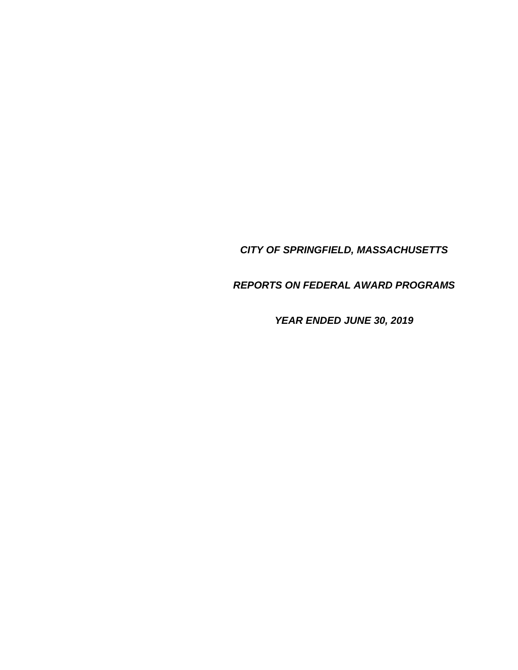*CITY OF SPRINGFIELD, MASSACHUSETTS* 

*REPORTS ON FEDERAL AWARD PROGRAMS* 

*YEAR ENDED JUNE 30, 2019*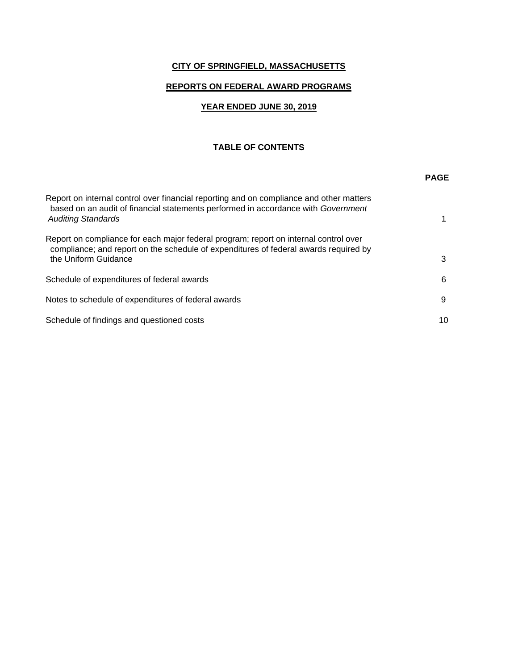# **CITY OF SPRINGFIELD, MASSACHUSETTS**

# **REPORTS ON FEDERAL AWARD PROGRAMS**

# **YEAR ENDED JUNE 30, 2019**

# **TABLE OF CONTENTS**

|                                                                                                                                                                                                           | <b>PAGE</b> |
|-----------------------------------------------------------------------------------------------------------------------------------------------------------------------------------------------------------|-------------|
| Report on internal control over financial reporting and on compliance and other matters<br>based on an audit of financial statements performed in accordance with Government<br><b>Auditing Standards</b> |             |
| Report on compliance for each major federal program; report on internal control over<br>compliance; and report on the schedule of expenditures of federal awards required by<br>the Uniform Guidance      | 3           |
| Schedule of expenditures of federal awards                                                                                                                                                                | 6           |
| Notes to schedule of expenditures of federal awards                                                                                                                                                       | 9           |
| Schedule of findings and questioned costs                                                                                                                                                                 | 10          |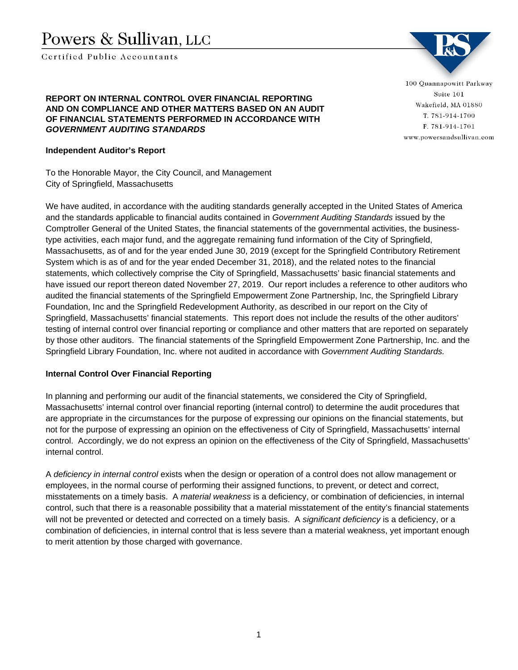Certified Public Accountants

100 Quannapowitt Parkway Suite 101 Wakefield, MA 01880 T. 781-914-1700 F. 781-914-1701 www.powersandsullivan.com

#### **REPORT ON INTERNAL CONTROL OVER FINANCIAL REPORTING AND ON COMPLIANCE AND OTHER MATTERS BASED ON AN AUDIT OF FINANCIAL STATEMENTS PERFORMED IN ACCORDANCE WITH**  *GOVERNMENT AUDITING STANDARDS*

# **Independent Auditor's Report**

To the Honorable Mayor, the City Council, and Management City of Springfield, Massachusetts

We have audited, in accordance with the auditing standards generally accepted in the United States of America and the standards applicable to financial audits contained in *Government Auditing Standards* issued by the Comptroller General of the United States, the financial statements of the governmental activities, the businesstype activities, each major fund, and the aggregate remaining fund information of the City of Springfield, Massachusetts, as of and for the year ended June 30, 2019 (except for the Springfield Contributory Retirement System which is as of and for the year ended December 31, 2018), and the related notes to the financial statements, which collectively comprise the City of Springfield, Massachusetts' basic financial statements and have issued our report thereon dated November 27, 2019. Our report includes a reference to other auditors who audited the financial statements of the Springfield Empowerment Zone Partnership, Inc, the Springfield Library Foundation, Inc and the Springfield Redevelopment Authority, as described in our report on the City of Springfield, Massachusetts' financial statements. This report does not include the results of the other auditors' testing of internal control over financial reporting or compliance and other matters that are reported on separately by those other auditors. The financial statements of the Springfield Empowerment Zone Partnership, Inc. and the Springfield Library Foundation, Inc. where not audited in accordance with *Government Auditing Standards.*

# **Internal Control Over Financial Reporting**

In planning and performing our audit of the financial statements, we considered the City of Springfield, Massachusetts' internal control over financial reporting (internal control) to determine the audit procedures that are appropriate in the circumstances for the purpose of expressing our opinions on the financial statements, but not for the purpose of expressing an opinion on the effectiveness of City of Springfield, Massachusetts' internal control. Accordingly, we do not express an opinion on the effectiveness of the City of Springfield, Massachusetts' internal control.

A *deficiency in internal control* exists when the design or operation of a control does not allow management or employees, in the normal course of performing their assigned functions, to prevent, or detect and correct, misstatements on a timely basis. A *material weakness* is a deficiency, or combination of deficiencies, in internal control, such that there is a reasonable possibility that a material misstatement of the entity's financial statements will not be prevented or detected and corrected on a timely basis. A *significant deficiency* is a deficiency, or a combination of deficiencies, in internal control that is less severe than a material weakness, yet important enough to merit attention by those charged with governance.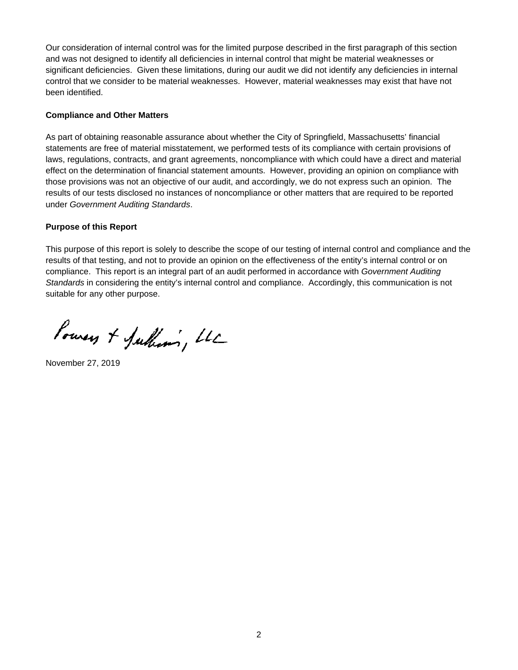Our consideration of internal control was for the limited purpose described in the first paragraph of this section and was not designed to identify all deficiencies in internal control that might be material weaknesses or significant deficiencies. Given these limitations, during our audit we did not identify any deficiencies in internal control that we consider to be material weaknesses. However, material weaknesses may exist that have not been identified.

# **Compliance and Other Matters**

As part of obtaining reasonable assurance about whether the City of Springfield, Massachusetts' financial statements are free of material misstatement, we performed tests of its compliance with certain provisions of laws, regulations, contracts, and grant agreements, noncompliance with which could have a direct and material effect on the determination of financial statement amounts. However, providing an opinion on compliance with those provisions was not an objective of our audit, and accordingly, we do not express such an opinion. The results of our tests disclosed no instances of noncompliance or other matters that are required to be reported under *Government Auditing Standards*.

# **Purpose of this Report**

This purpose of this report is solely to describe the scope of our testing of internal control and compliance and the results of that testing, and not to provide an opinion on the effectiveness of the entity's internal control or on compliance. This report is an integral part of an audit performed in accordance with *Government Auditing Standards* in considering the entity's internal control and compliance. Accordingly, this communication is not suitable for any other purpose.

Powers + Julham's, LLC

November 27, 2019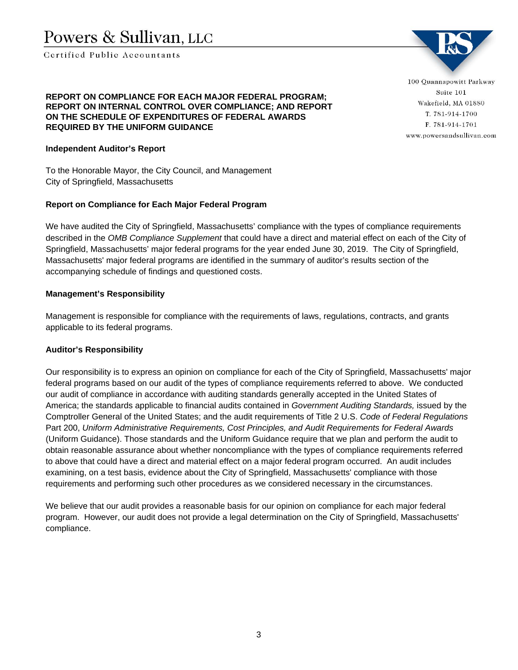Certified Public Accountants

100 Quannapowitt Parkway Suite 101 Wakefield, MA 01880 T. 781-914-1700 F. 781-914-1701 www.powersandsullivan.com

#### **REPORT ON COMPLIANCE FOR EACH MAJOR FEDERAL PROGRAM; REPORT ON INTERNAL CONTROL OVER COMPLIANCE; AND REPORT ON THE SCHEDULE OF EXPENDITURES OF FEDERAL AWARDS REQUIRED BY THE UNIFORM GUIDANCE**

# **Independent Auditor's Report**

To the Honorable Mayor, the City Council, and Management City of Springfield, Massachusetts

# **Report on Compliance for Each Major Federal Program**

We have audited the City of Springfield, Massachusetts' compliance with the types of compliance requirements described in the *OMB Compliance Supplement* that could have a direct and material effect on each of the City of Springfield, Massachusetts' major federal programs for the year ended June 30, 2019. The City of Springfield, Massachusetts' major federal programs are identified in the summary of auditor's results section of the accompanying schedule of findings and questioned costs.

# **Management's Responsibility**

Management is responsible for compliance with the requirements of laws, regulations, contracts, and grants applicable to its federal programs.

# **Auditor's Responsibility**

Our responsibility is to express an opinion on compliance for each of the City of Springfield, Massachusetts' major federal programs based on our audit of the types of compliance requirements referred to above. We conducted our audit of compliance in accordance with auditing standards generally accepted in the United States of America; the standards applicable to financial audits contained in *Government Auditing Standards,* issued by the Comptroller General of the United States; and the audit requirements of Title 2 U.S. *Code of Federal Regulations* Part 200, *Uniform Administrative Requirements, Cost Principles, and Audit Requirements for Federal Awards*  (Uniform Guidance). Those standards and the Uniform Guidance require that we plan and perform the audit to obtain reasonable assurance about whether noncompliance with the types of compliance requirements referred to above that could have a direct and material effect on a major federal program occurred. An audit includes examining, on a test basis, evidence about the City of Springfield, Massachusetts' compliance with those requirements and performing such other procedures as we considered necessary in the circumstances.

We believe that our audit provides a reasonable basis for our opinion on compliance for each major federal program. However, our audit does not provide a legal determination on the City of Springfield, Massachusetts' compliance.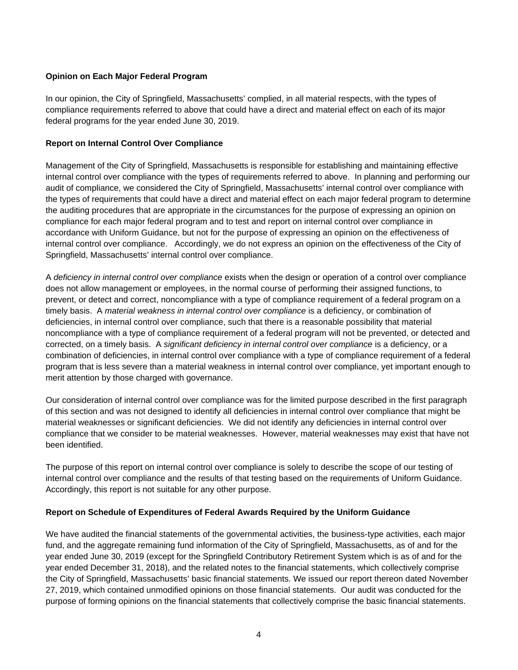# **Opinion on Each Major Federal Program**

In our opinion, the City of Springfield, Massachusetts' complied, in all material respects, with the types of compliance requirements referred to above that could have a direct and material effect on each of its major federal programs for the year ended June 30, 2019.

# **Report on Internal Control Over Compliance**

Management of the City of Springfield, Massachusetts is responsible for establishing and maintaining effective internal control over compliance with the types of requirements referred to above. In planning and performing our audit of compliance, we considered the City of Springfield, Massachusetts' internal control over compliance with the types of requirements that could have a direct and material effect on each major federal program to determine the auditing procedures that are appropriate in the circumstances for the purpose of expressing an opinion on compliance for each major federal program and to test and report on internal control over compliance in accordance with Uniform Guidance, but not for the purpose of expressing an opinion on the effectiveness of internal control over compliance. Accordingly, we do not express an opinion on the effectiveness of the City of Springfield, Massachusetts' internal control over compliance.

A *deficiency in internal control over compliance* exists when the design or operation of a control over compliance does not allow management or employees, in the normal course of performing their assigned functions, to prevent, or detect and correct, noncompliance with a type of compliance requirement of a federal program on a timely basis. A *material weakness in internal control over compliance* is a deficiency, or combination of deficiencies, in internal control over compliance, such that there is a reasonable possibility that material noncompliance with a type of compliance requirement of a federal program will not be prevented, or detected and corrected, on a timely basis. A *significant deficiency in internal control over compliance* is a deficiency, or a combination of deficiencies, in internal control over compliance with a type of compliance requirement of a federal program that is less severe than a material weakness in internal control over compliance, yet important enough to merit attention by those charged with governance.

Our consideration of internal control over compliance was for the limited purpose described in the first paragraph of this section and was not designed to identify all deficiencies in internal control over compliance that might be material weaknesses or significant deficiencies. We did not identify any deficiencies in internal control over compliance that we consider to be material weaknesses. However, material weaknesses may exist that have not been identified.

The purpose of this report on internal control over compliance is solely to describe the scope of our testing of internal control over compliance and the results of that testing based on the requirements of Uniform Guidance. Accordingly, this report is not suitable for any other purpose.

# **Report on Schedule of Expenditures of Federal Awards Required by the Uniform Guidance**

We have audited the financial statements of the governmental activities, the business-type activities, each major fund, and the aggregate remaining fund information of the City of Springfield, Massachusetts, as of and for the year ended June 30, 2019 (except for the Springfield Contributory Retirement System which is as of and for the year ended December 31, 2018), and the related notes to the financial statements, which collectively comprise the City of Springfield, Massachusetts' basic financial statements. We issued our report thereon dated November 27, 2019, which contained unmodified opinions on those financial statements. Our audit was conducted for the purpose of forming opinions on the financial statements that collectively comprise the basic financial statements.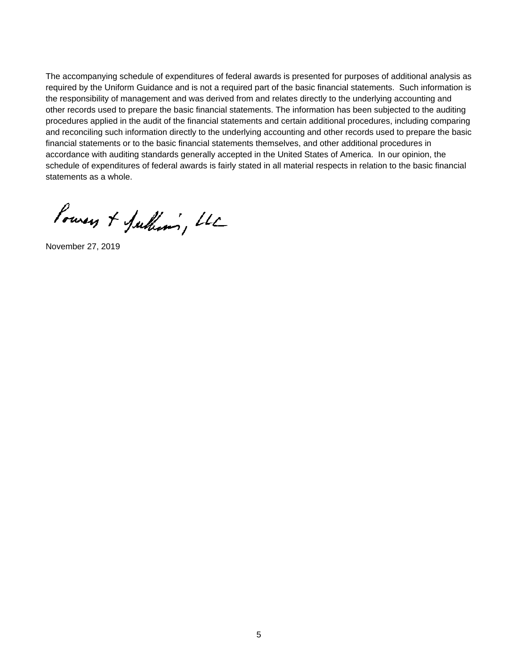The accompanying schedule of expenditures of federal awards is presented for purposes of additional analysis as required by the Uniform Guidance and is not a required part of the basic financial statements. Such information is the responsibility of management and was derived from and relates directly to the underlying accounting and other records used to prepare the basic financial statements. The information has been subjected to the auditing procedures applied in the audit of the financial statements and certain additional procedures, including comparing and reconciling such information directly to the underlying accounting and other records used to prepare the basic financial statements or to the basic financial statements themselves, and other additional procedures in accordance with auditing standards generally accepted in the United States of America. In our opinion, the schedule of expenditures of federal awards is fairly stated in all material respects in relation to the basic financial statements as a whole.

Powers + Julham's, LLC

November 27, 2019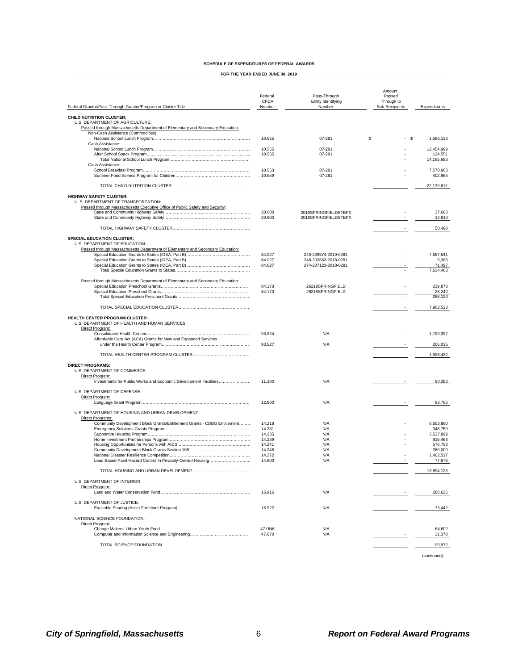**FOR THE YEAR ENDED JUNE 30, 2019**

| Federal Grantor/Pass-Through Grantor/Program or Cluster Title                                                                                         | Federal<br><b>CFDA</b><br>Number | Pass-Through<br>Entity Identifying<br>Number | Amount<br>Passed<br>Through to<br>Sub-Recipients | Expenditures            |
|-------------------------------------------------------------------------------------------------------------------------------------------------------|----------------------------------|----------------------------------------------|--------------------------------------------------|-------------------------|
| <b>CHILD NUTRITION CLUSTER:</b>                                                                                                                       |                                  |                                              |                                                  |                         |
| U.S. DEPARTMENT OF AGRICULTURE:                                                                                                                       |                                  |                                              |                                                  |                         |
| Passed through Massachusetts Department of Elementary and Secondary Education:                                                                        |                                  |                                              |                                                  |                         |
| Non-Cash Assistance (Commodities):                                                                                                                    | 10.555                           | 07-281                                       | \$<br>$-$ \$                                     | 1,586,133               |
| Cash Assistance:                                                                                                                                      |                                  |                                              |                                                  |                         |
|                                                                                                                                                       | 10.555                           | 07-281                                       |                                                  | 12,454,999              |
|                                                                                                                                                       | 10.555                           | 07-281                                       |                                                  | 124,551<br>14, 165, 683 |
| Cash Assistance:                                                                                                                                      |                                  |                                              |                                                  |                         |
|                                                                                                                                                       | 10.553                           | 07-281                                       |                                                  | 7,570,963               |
|                                                                                                                                                       | 10.559                           | 07-281                                       |                                                  | 402,965                 |
|                                                                                                                                                       |                                  |                                              |                                                  | 22,139,611              |
| <b>HIGHWAY SAFETY CLUSTER:</b><br>U. S. DEPARTMENT OF TRANSPORTATION:<br>Passed through Massachusetts Executive Office of Public Safety and Security: |                                  |                                              |                                                  |                         |
|                                                                                                                                                       | 20.600                           | 2019SPRINGFIELDSTEPX                         |                                                  | 37,680                  |
|                                                                                                                                                       | 20.600                           | 2018SPRINGFIELDSTEPX                         |                                                  | 12,810                  |
|                                                                                                                                                       |                                  |                                              | $\overline{\phantom{a}}$                         | 50,490                  |
| <b>SPECIAL EDUCATION CLUSTER:</b>                                                                                                                     |                                  |                                              |                                                  |                         |
| U.S. DEPARTMENT OF EDUCATION:                                                                                                                         |                                  |                                              |                                                  |                         |
| Passed through Massachusetts Department of Elementary and Secondary Education:                                                                        |                                  |                                              |                                                  |                         |
|                                                                                                                                                       | 84.027                           | 240-209574-2019-0281                         |                                                  | 7,557,541               |
|                                                                                                                                                       | 84.027<br>84.027                 | 248-202662-2018-0281<br>274-207123-2018-0281 |                                                  | 5,365<br>71,497         |
|                                                                                                                                                       |                                  |                                              |                                                  | 7,634,403               |
|                                                                                                                                                       |                                  |                                              |                                                  |                         |
| Passed through Massachusetts Department of Elementary and Secondary Education:                                                                        | 84.173                           | 26219SPRINGFIELD                             |                                                  | 239.878                 |
|                                                                                                                                                       | 84.173                           | 26218SPRINGFIELD                             |                                                  | 28,242                  |
|                                                                                                                                                       |                                  |                                              |                                                  | 268,120                 |
|                                                                                                                                                       |                                  |                                              |                                                  | 7,902,523               |
| <b>HEALTH CENTER PROGRAM CLUSTER:</b><br>U.S. DEPARTMENT OF HEALTH AND HUMAN SERVICES:<br>Direct Program:                                             |                                  |                                              |                                                  |                         |
|                                                                                                                                                       | 93.224                           | N/A                                          |                                                  | 1,720,397               |
| Affordable Care Act (ACA) Grants for New and Expanded Services                                                                                        |                                  |                                              |                                                  |                         |
|                                                                                                                                                       | 93.527                           | N/A                                          |                                                  | 206,035                 |
|                                                                                                                                                       |                                  |                                              |                                                  | 1,926,432               |
| <b>DIRECT PROGRAMS:</b><br>U.S. DEPARTMENT OF COMMERCE:                                                                                               |                                  |                                              |                                                  |                         |
| Direct Program:<br>Investments for Public Works and Economic Development Facilities                                                                   | 11.300                           | N/A                                          |                                                  | 50,263                  |
|                                                                                                                                                       |                                  |                                              |                                                  |                         |
| U.S. DEPARTMENT OF DEFENSE:                                                                                                                           |                                  |                                              |                                                  |                         |
| Direct Program:                                                                                                                                       | 12.900                           | N/A                                          |                                                  | 92,755                  |
|                                                                                                                                                       |                                  |                                              |                                                  |                         |
| U.S. DEPARTMENT OF HOUSING AND URBAN DEVELOPMENT:<br>Direct Programs:                                                                                 |                                  |                                              |                                                  |                         |
| Community Development Block Grants/Entitlement Grants - CDBG Entitlement                                                                              | 14.218                           | N/A                                          |                                                  | 6,653,860               |
|                                                                                                                                                       | 14.231                           | N/A                                          |                                                  | 348,750                 |
|                                                                                                                                                       | 14.235                           | N/A                                          |                                                  | 3,537,899               |
|                                                                                                                                                       | 14.239<br>14.241                 | N/A<br>N/A                                   |                                                  | 916,466<br>576.753      |
|                                                                                                                                                       | 14.248                           | N/A                                          |                                                  | 380,000                 |
|                                                                                                                                                       | 14.272                           | N/A                                          |                                                  | 1,402,517               |
| Lead-Based Paint Hazard Control In Privately-Owned Housing                                                                                            | 14.900                           | N/A                                          |                                                  | 77,878                  |
|                                                                                                                                                       |                                  |                                              |                                                  | 13.894.123              |
| U.S. DEPARTMENT OF INTERIOR:                                                                                                                          |                                  |                                              |                                                  |                         |
| Direct Program:                                                                                                                                       |                                  |                                              |                                                  |                         |
|                                                                                                                                                       | 15.916                           | N/A                                          |                                                  | 288,625                 |
| U.S. DEPARTMENT OF JUSTICE:                                                                                                                           |                                  |                                              |                                                  |                         |
|                                                                                                                                                       | 16.922                           | N/A                                          |                                                  | 73,442                  |
| NATIONAL SCIENCE FOUNDATION:<br>Direct Program:                                                                                                       |                                  |                                              |                                                  |                         |
|                                                                                                                                                       | 47.UNK                           | N/A                                          |                                                  | 64,602                  |
|                                                                                                                                                       | 47.070                           | N/A                                          |                                                  | 31,370                  |
|                                                                                                                                                       |                                  |                                              |                                                  | 95,972                  |
|                                                                                                                                                       |                                  |                                              |                                                  |                         |
|                                                                                                                                                       |                                  |                                              |                                                  | (continued)             |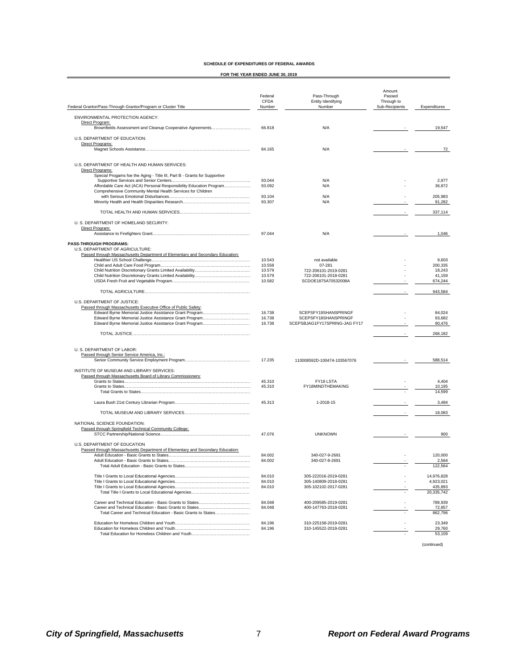| <b>SCHEDULE OF EXPENDITURES OF FEDERAL AWARDS</b> |  |  |  |
|---------------------------------------------------|--|--|--|
|---------------------------------------------------|--|--|--|

**FOR THE YEAR ENDED JUNE 30, 2019**

| Federal Grantor/Pass-Through Grantor/Program or Cluster Title                                                                                  | Federal<br>CFDA<br>Number | Pass-Through<br>Entity Identifying<br>Number          | Amount<br>Passed<br>Through to<br>Sub-Recipients | Expenditures                 |
|------------------------------------------------------------------------------------------------------------------------------------------------|---------------------------|-------------------------------------------------------|--------------------------------------------------|------------------------------|
|                                                                                                                                                |                           |                                                       |                                                  |                              |
| ENVIRONMENTAL PROTECTION AGENCY:<br>Direct Program:<br>Brownfields Assessment and Cleanup Cooperative Agreements                               | 66.818                    | N/A                                                   |                                                  | 19,547                       |
| U.S. DEPARTMENT OF EDUCATION:                                                                                                                  |                           |                                                       |                                                  |                              |
| Direct Programs:                                                                                                                               | 84.165                    | N/A                                                   |                                                  | 72                           |
| U.S. DEPARTMENT OF HEALTH AND HUMAN SERVICES:<br>Direct Programs:<br>Special Progams foe the Aging - Title III, Part B - Grants for Supportive |                           |                                                       |                                                  |                              |
| Affordable Care Act (ACA) Personal Responsibility Education Program                                                                            | 93.044<br>93.092          | N/A<br>N/A                                            |                                                  | 2.977<br>36,872              |
| Comprehensive Community Mental Health Services for Children                                                                                    | 93.104<br>93.307          | N/A<br>N/A                                            |                                                  | 205.983<br>91,282            |
|                                                                                                                                                |                           |                                                       |                                                  | 337,114                      |
| U. S. DEPARTMENT OF HOMELAND SECURITY:<br>Direct Program:                                                                                      | 97.044                    | N/A                                                   |                                                  | 1,046                        |
| <b>PASS-THROUGH PROGRAMS:</b><br>U.S. DEPARTMENT OF AGRICULTURE:                                                                               |                           |                                                       |                                                  |                              |
| Passed through Massachusetts Department of Elementary and Secondary Education:                                                                 | 10.543                    | not available                                         |                                                  | 9,603                        |
|                                                                                                                                                | 10.558<br>10.579          | 07-281<br>722-206101-2019-0281                        |                                                  | 200,335<br>18,243            |
|                                                                                                                                                | 10.579<br>10.582          | 722-206101-2018-0281<br>SCDOE1875A70532008A           |                                                  | 41,159<br>674,244            |
|                                                                                                                                                |                           |                                                       |                                                  | 943,584                      |
| U.S. DEPARTMENT OF JUSTICE:                                                                                                                    |                           |                                                       |                                                  |                              |
| Passed through Massachusetts Executive Office of Public Safety:<br>Edward Byrne Memorial Justice Assistance Grant Program                      | 16.738                    | SCEPSFY19SHANSPRINGF                                  |                                                  | 84,024                       |
| Edward Byrne Memorial Justice Assistance Grant Program<br>Edward Byrne Memorial Justice Assistance Grant Program                               | 16.738<br>16.738          | SCEPSFY18SHANSPRINGF<br>SCEPSBJAG1FY17SPRING-JAG FY17 |                                                  | 93,682<br>90,476             |
|                                                                                                                                                |                           |                                                       |                                                  | 268,182                      |
| U. S. DEPARTMENT OF LABOR:                                                                                                                     |                           |                                                       |                                                  |                              |
| Passed through Senior Service America, Inc.:                                                                                                   | 17.235                    | 110008592D-100474-103567076                           |                                                  | 588,514                      |
| INSTITUTE OF MUSEUM AND LIBRARY SERVICES:<br>Passed through Massachusetts Board of Library Commissioners:                                      |                           |                                                       |                                                  |                              |
|                                                                                                                                                | 45.310                    | FY19 LSTA                                             |                                                  | 4,404                        |
|                                                                                                                                                | 45.310                    | FY18MINDTHEMAKING                                     |                                                  | 10,195<br>14,599             |
|                                                                                                                                                | 45.313                    | 1-2018-15                                             |                                                  | 3,484                        |
|                                                                                                                                                |                           |                                                       |                                                  | 18,083                       |
| NATIONAL SCIENCE FOUNDATION:<br>Passed through Springfield Technical Community College:                                                        |                           |                                                       |                                                  |                              |
|                                                                                                                                                | 47.076                    | <b>UNKNOWN</b>                                        |                                                  | 900                          |
| U.S. DEPARTMENT OF EDUCATION<br>Passed through Massachusetts Department of Elementary and Secondary Education:                                 |                           |                                                       |                                                  |                              |
|                                                                                                                                                | 84.002<br>84.002          | 340-027-9-2691<br>340-027-8-2691                      |                                                  | 120,000<br>2,564             |
|                                                                                                                                                |                           |                                                       |                                                  | 122,564                      |
|                                                                                                                                                | 84.010                    | 305-222016-2019-0281                                  |                                                  | 14,976,828                   |
|                                                                                                                                                | 84.010<br>84.010          | 305-140809-2018-0281<br>305-102102-2017-0281          |                                                  | 4,923,021<br>435,893         |
|                                                                                                                                                |                           |                                                       |                                                  | 20,335,742                   |
| Total Career and Technical Education - Basic Grants to States                                                                                  | 84.048<br>84.048          | 400-209585-2019-0281<br>400-147763-2018-0281          |                                                  | 789,939<br>72,857<br>862,796 |
|                                                                                                                                                |                           |                                                       |                                                  |                              |
|                                                                                                                                                | 84.196<br>84.196          | 310-225158-2019-0281<br>310-145522-2018-0281          |                                                  | 23,349<br>29,760<br>53,109   |

(continued)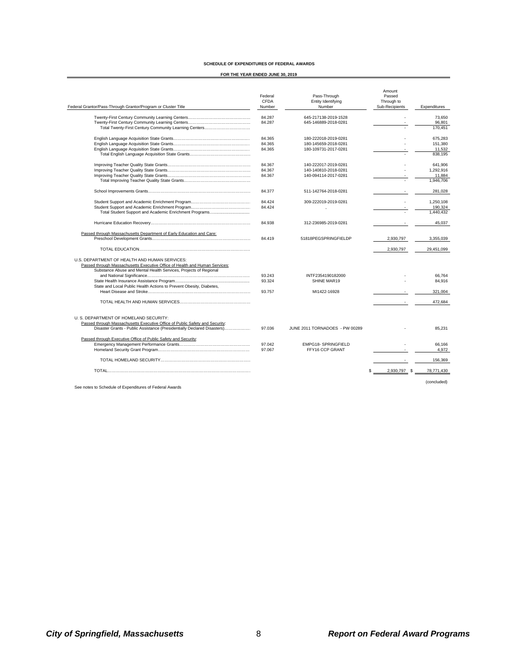#### **SCHEDULE OF EXPENDITURES OF FEDERAL AWARDS**

**FOR THE YEAR ENDED JUNE 30, 2019**

| Federal Grantor/Pass-Through Grantor/Program or Cluster Title                                                                                   | Federal<br>CFDA<br>Number | Pass-Through<br>Entity Identifying<br>Number | Amount<br>Passed<br>Through to<br>Sub-Recipients | Expenditures        |
|-------------------------------------------------------------------------------------------------------------------------------------------------|---------------------------|----------------------------------------------|--------------------------------------------------|---------------------|
|                                                                                                                                                 | 84.287<br>84.287          | 645-217138-2019-1528<br>645-146889-2018-0281 |                                                  | 73.650<br>96,801    |
| Total Twenty-First Century Community Learning Centers                                                                                           |                           |                                              |                                                  | 170.451             |
|                                                                                                                                                 | 84.365                    | 180-222018-2019-0281                         |                                                  | 675.283             |
|                                                                                                                                                 | 84.365                    | 180-145659-2018-0281                         |                                                  | 151.380             |
|                                                                                                                                                 | 84.365                    | 180-109731-2017-0281                         |                                                  | 11,532<br>838.195   |
|                                                                                                                                                 | 84.367                    | 140-222017-2019-0281                         |                                                  | 641.906             |
|                                                                                                                                                 | 84.367                    | 140-140810-2018-0281                         |                                                  | 1.292.916           |
|                                                                                                                                                 | 84.367                    | 140-094114-2017-0281                         |                                                  | 11,884<br>1.946.706 |
|                                                                                                                                                 | 84.377                    | 511-142764-2018-0281                         |                                                  | 281.028             |
|                                                                                                                                                 | 84.424                    | 309-222019-2019-0281                         |                                                  | 1,250,108           |
|                                                                                                                                                 | 84.424                    |                                              |                                                  | 190,324             |
|                                                                                                                                                 |                           |                                              |                                                  | 1.440.432           |
|                                                                                                                                                 | 84.938                    | 312-236985-2019-0281                         |                                                  | 45.037              |
| Passed through Massachusetts Department of Early Education and Care:                                                                            |                           | 51818PEGSPRINGFIELDP                         |                                                  |                     |
|                                                                                                                                                 | 84.419                    |                                              | 2,930,797                                        | 3.355.039           |
|                                                                                                                                                 |                           |                                              | 2,930,797                                        | 29.451.099          |
| U.S. DEPARTMENT OF HEALTH AND HUMAN SERVICES:                                                                                                   |                           |                                              |                                                  |                     |
| Passed through Massachusetts Executive Office of Health and Human Services:<br>Substance Abuse and Mental Health Services, Projects of Regional |                           |                                              |                                                  |                     |
|                                                                                                                                                 | 93.243                    | INTF2354190182000                            |                                                  | 66.764              |
|                                                                                                                                                 | 93.324                    | SHINE MAR19                                  |                                                  | 84,916              |
| State and Local Public Health Actions to Prevent Obesity, Diabetes,                                                                             |                           |                                              |                                                  |                     |
|                                                                                                                                                 | 93.757                    | MI1422-16928                                 |                                                  | 321.004             |
|                                                                                                                                                 |                           |                                              |                                                  | 472.684             |
| U. S. DEPARTMENT OF HOMELAND SECURITY:                                                                                                          |                           |                                              |                                                  |                     |
| Passed through Massachusetts Executive Office of Public Safety and Security:                                                                    |                           |                                              |                                                  |                     |
| Disaster Grants - Public Assistance (Presidentially Declared Disasters)                                                                         | 97.036                    | JUNE 2011 TORNADOES - PW 00289               |                                                  | 85.231              |
| Passed through Executive Office of Public Safety and Security:                                                                                  |                           |                                              |                                                  |                     |
|                                                                                                                                                 | 97.042                    | EMPG18-SPRINGFIELD                           |                                                  | 66,166              |
|                                                                                                                                                 | 97.067                    | FFY16 CCP GRANT                              |                                                  | 4,972               |
|                                                                                                                                                 |                           |                                              |                                                  | 156.369             |
|                                                                                                                                                 |                           |                                              | 2,930,797<br>-S                                  | 78,771,430          |
|                                                                                                                                                 |                           |                                              |                                                  |                     |

See notes to Schedule of Expenditures of Federal Awards

(concluded)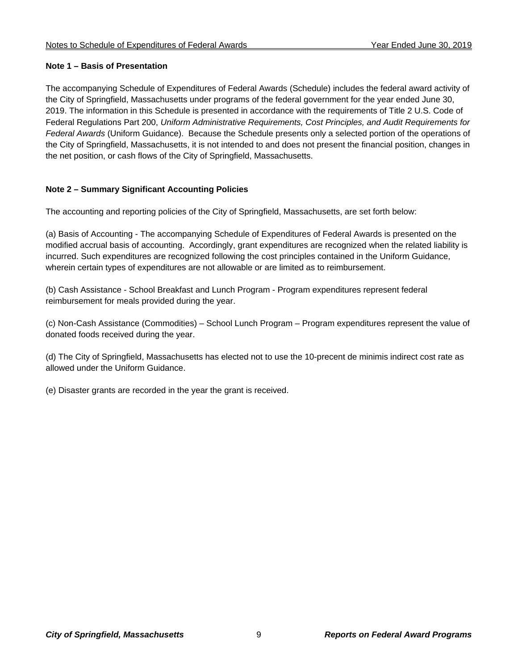# **Note 1 – Basis of Presentation**

The accompanying Schedule of Expenditures of Federal Awards (Schedule) includes the federal award activity of the City of Springfield, Massachusetts under programs of the federal government for the year ended June 30, 2019. The information in this Schedule is presented in accordance with the requirements of Title 2 U.S. Code of Federal Regulations Part 200, *Uniform Administrative Requirements, Cost Principles, and Audit Requirements for Federal Awards* (Uniform Guidance). Because the Schedule presents only a selected portion of the operations of the City of Springfield, Massachusetts, it is not intended to and does not present the financial position, changes in the net position, or cash flows of the City of Springfield, Massachusetts.

# **Note 2 – Summary Significant Accounting Policies**

The accounting and reporting policies of the City of Springfield, Massachusetts, are set forth below:

(a) Basis of Accounting - The accompanying Schedule of Expenditures of Federal Awards is presented on the modified accrual basis of accounting. Accordingly, grant expenditures are recognized when the related liability is incurred. Such expenditures are recognized following the cost principles contained in the Uniform Guidance, wherein certain types of expenditures are not allowable or are limited as to reimbursement.

(b) Cash Assistance - School Breakfast and Lunch Program - Program expenditures represent federal reimbursement for meals provided during the year.

(c) Non-Cash Assistance (Commodities) – School Lunch Program – Program expenditures represent the value of donated foods received during the year.

(d) The City of Springfield, Massachusetts has elected not to use the 10-precent de minimis indirect cost rate as allowed under the Uniform Guidance.

(e) Disaster grants are recorded in the year the grant is received.